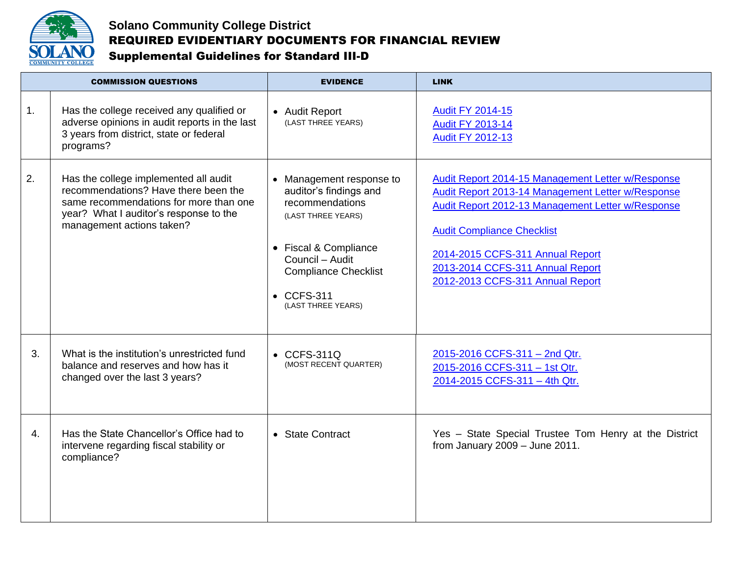

## **Solano Community College District** REQUIRED EVIDENTIARY DOCUMENTS FOR FINANCIAL REVIEW Supplemental Guidelines for Standard III-D

| <b>COMMISSION QUESTIONS</b> |                                                                                                                                                                                                | <b>EVIDENCE</b>                                                                                                                                                                                                    | <b>LINK</b>                                                                                                                                                                                                                                                                                                  |
|-----------------------------|------------------------------------------------------------------------------------------------------------------------------------------------------------------------------------------------|--------------------------------------------------------------------------------------------------------------------------------------------------------------------------------------------------------------------|--------------------------------------------------------------------------------------------------------------------------------------------------------------------------------------------------------------------------------------------------------------------------------------------------------------|
| 1.                          | Has the college received any qualified or<br>adverse opinions in audit reports in the last<br>3 years from district, state or federal<br>programs?                                             | • Audit Report<br>(LAST THREE YEARS)                                                                                                                                                                               | <b>Audit FY 2014-15</b><br><b>Audit FY 2013-14</b><br><b>Audit FY 2012-13</b>                                                                                                                                                                                                                                |
| 2.                          | Has the college implemented all audit<br>recommendations? Have there been the<br>same recommendations for more than one<br>year? What I auditor's response to the<br>management actions taken? | • Management response to<br>auditor's findings and<br>recommendations<br>(LAST THREE YEARS)<br>• Fiscal & Compliance<br>Council - Audit<br><b>Compliance Checklist</b><br>$\bullet$ CCFS-311<br>(LAST THREE YEARS) | Audit Report 2014-15 Management Letter w/Response<br>Audit Report 2013-14 Management Letter w/Response<br>Audit Report 2012-13 Management Letter w/Response<br><b>Audit Compliance Checklist</b><br>2014-2015 CCFS-311 Annual Report<br>2013-2014 CCFS-311 Annual Report<br>2012-2013 CCFS-311 Annual Report |
| 3.                          | What is the institution's unrestricted fund<br>balance and reserves and how has it<br>changed over the last 3 years?                                                                           | $\bullet$ CCFS-311Q<br>(MOST RECENT QUARTER)                                                                                                                                                                       | 2015-2016 CCFS-311 - 2nd Qtr.<br>2015-2016 CCFS-311 - 1st Qtr.<br>2014-2015 CCFS-311 - 4th Qtr.                                                                                                                                                                                                              |
| 4.                          | Has the State Chancellor's Office had to<br>intervene regarding fiscal stability or<br>compliance?                                                                                             | • State Contract                                                                                                                                                                                                   | Yes - State Special Trustee Tom Henry at the District<br>from January $2009 -$ June $2011$ .                                                                                                                                                                                                                 |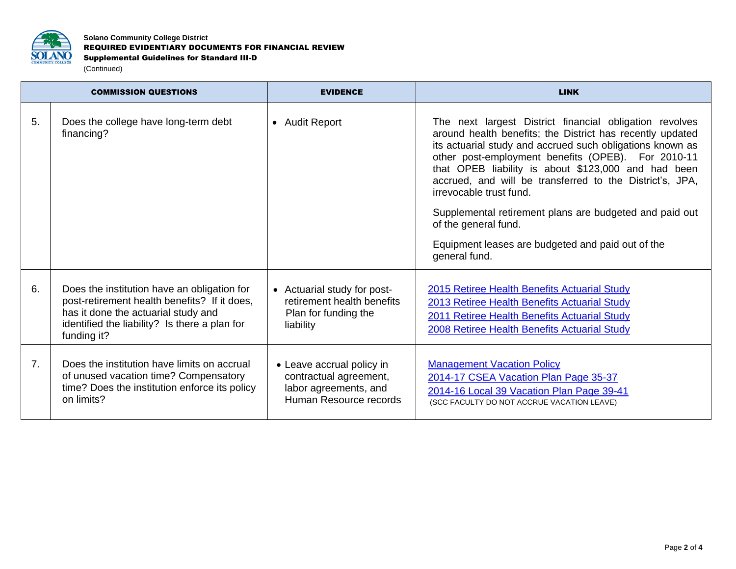

**Solano Community College District** REQUIRED EVIDENTIARY DOCUMENTS FOR FINANCIAL REVIEW Supplemental Guidelines for Standard III-D (Continued)

| <b>COMMISSION QUESTIONS</b> |                                                                                                                                                                                                    | <b>EVIDENCE</b>                                                                                        | <b>LINK</b>                                                                                                                                                                                                                                                                                                                                                                                                                                                                                                                                    |
|-----------------------------|----------------------------------------------------------------------------------------------------------------------------------------------------------------------------------------------------|--------------------------------------------------------------------------------------------------------|------------------------------------------------------------------------------------------------------------------------------------------------------------------------------------------------------------------------------------------------------------------------------------------------------------------------------------------------------------------------------------------------------------------------------------------------------------------------------------------------------------------------------------------------|
| 5.                          | Does the college have long-term debt<br>financing?                                                                                                                                                 | • Audit Report                                                                                         | The next largest District financial obligation revolves<br>around health benefits; the District has recently updated<br>its actuarial study and accrued such obligations known as<br>other post-employment benefits (OPEB). For 2010-11<br>that OPEB liability is about \$123,000 and had been<br>accrued, and will be transferred to the District's, JPA,<br>irrevocable trust fund.<br>Supplemental retirement plans are budgeted and paid out<br>of the general fund.<br>Equipment leases are budgeted and paid out of the<br>general fund. |
| 6.                          | Does the institution have an obligation for<br>post-retirement health benefits? If it does,<br>has it done the actuarial study and<br>identified the liability? Is there a plan for<br>funding it? | • Actuarial study for post-<br>retirement health benefits<br>Plan for funding the<br>liability         | <b>2015 Retiree Health Benefits Actuarial Study</b><br>2013 Retiree Health Benefits Actuarial Study<br>2011 Retiree Health Benefits Actuarial Study<br><b>2008 Retiree Health Benefits Actuarial Study</b>                                                                                                                                                                                                                                                                                                                                     |
| 7 <sub>1</sub>              | Does the institution have limits on accrual<br>of unused vacation time? Compensatory<br>time? Does the institution enforce its policy<br>on limits?                                                | • Leave accrual policy in<br>contractual agreement,<br>labor agreements, and<br>Human Resource records | <b>Management Vacation Policy</b><br>2014-17 CSEA Vacation Plan Page 35-37<br>2014-16 Local 39 Vacation Plan Page 39-41<br>(SCC FACULTY DO NOT ACCRUE VACATION LEAVE)                                                                                                                                                                                                                                                                                                                                                                          |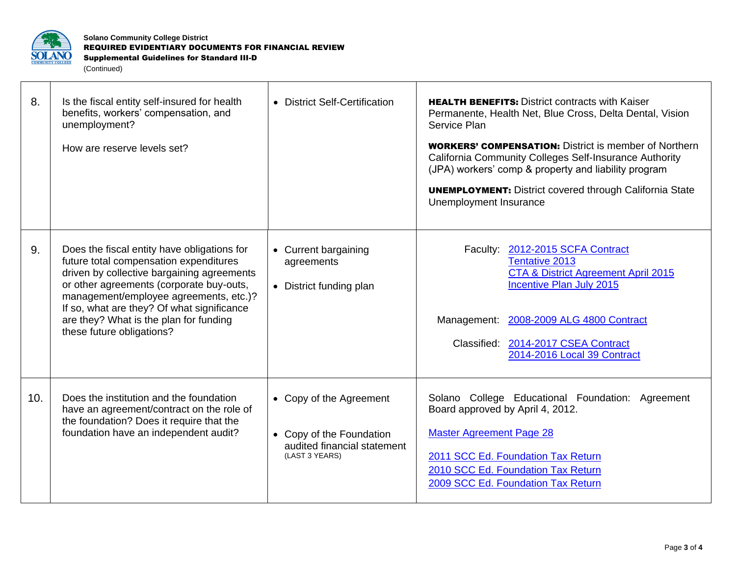

**Solano Community College District** REQUIRED EVIDENTIARY DOCUMENTS FOR FINANCIAL REVIEW Supplemental Guidelines for Standard III-D (Continued)

| 8.  | Is the fiscal entity self-insured for health<br>benefits, workers' compensation, and<br>unemployment?<br>How are reserve levels set?                                                                                                                                                                                                           | • District Self-Certification                                                                        | <b>HEALTH BENEFITS: District contracts with Kaiser</b><br>Permanente, Health Net, Blue Cross, Delta Dental, Vision<br>Service Plan<br><b>WORKERS' COMPENSATION:</b> District is member of Northern<br>California Community Colleges Self-Insurance Authority<br>(JPA) workers' comp & property and liability program<br><b>UNEMPLOYMENT:</b> District covered through California State<br>Unemployment Insurance |
|-----|------------------------------------------------------------------------------------------------------------------------------------------------------------------------------------------------------------------------------------------------------------------------------------------------------------------------------------------------|------------------------------------------------------------------------------------------------------|------------------------------------------------------------------------------------------------------------------------------------------------------------------------------------------------------------------------------------------------------------------------------------------------------------------------------------------------------------------------------------------------------------------|
| 9.  | Does the fiscal entity have obligations for<br>future total compensation expenditures<br>driven by collective bargaining agreements<br>or other agreements (corporate buy-outs,<br>management/employee agreements, etc.)?<br>If so, what are they? Of what significance<br>are they? What is the plan for funding<br>these future obligations? | • Current bargaining<br>agreements<br>• District funding plan                                        | Faculty: 2012-2015 SCFA Contract<br><b>Tentative 2013</b><br>CTA & District Agreement April 2015<br><b>Incentive Plan July 2015</b><br>Management: 2008-2009 ALG 4800 Contract<br>Classified: 2014-2017 CSEA Contract<br>2014-2016 Local 39 Contract                                                                                                                                                             |
| 10. | Does the institution and the foundation<br>have an agreement/contract on the role of<br>the foundation? Does it require that the<br>foundation have an independent audit?                                                                                                                                                                      | • Copy of the Agreement<br>• Copy of the Foundation<br>audited financial statement<br>(LAST 3 YEARS) | Solano College Educational Foundation: Agreement<br>Board approved by April 4, 2012.<br><b>Master Agreement Page 28</b><br>2011 SCC Ed. Foundation Tax Return<br>2010 SCC Ed. Foundation Tax Return<br>2009 SCC Ed. Foundation Tax Return                                                                                                                                                                        |